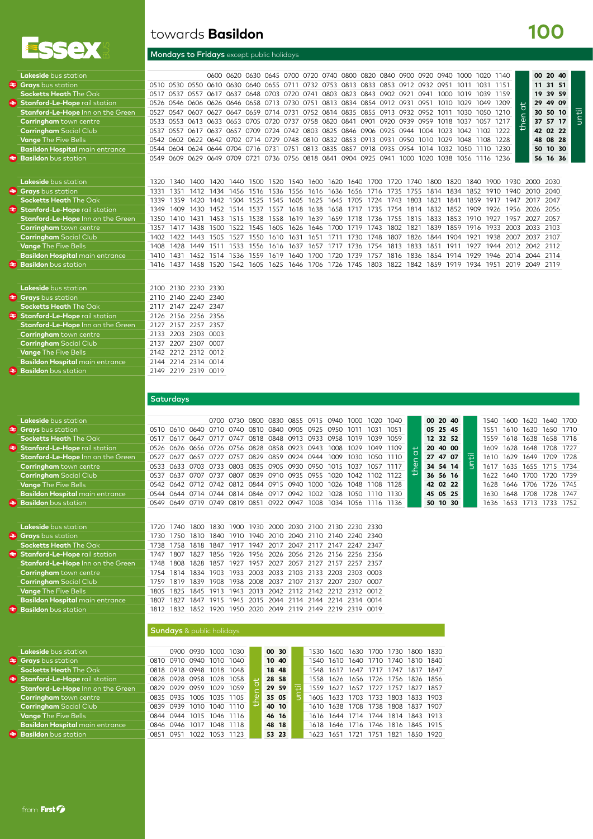

 $\triangleq$  **Stanford-Le-Hope** rail stati  $$ 

**Basildon** bus station

6 Ē.

### towards **Basildon**

#### Mondays to Fridays except public holidays

|      |      |                      |                                                     |                                      |                                                                                                                          |                                                                                              |                                                       |                                                                                             |                                                             |                                                                                     |                                                                                          |                                                                       |                                                                                                                                   |                                                                                                                                                                                                                                                                                                   |                                                                                                                                                                                                                                                                                     | 1011                                                                                                                                         |                                                                               |                                                                                                                              |                                                                                                              |                                                                                                                                                                                                                                               |             |                                                                                                                                                                                             |
|------|------|----------------------|-----------------------------------------------------|--------------------------------------|--------------------------------------------------------------------------------------------------------------------------|----------------------------------------------------------------------------------------------|-------------------------------------------------------|---------------------------------------------------------------------------------------------|-------------------------------------------------------------|-------------------------------------------------------------------------------------|------------------------------------------------------------------------------------------|-----------------------------------------------------------------------|-----------------------------------------------------------------------------------------------------------------------------------|---------------------------------------------------------------------------------------------------------------------------------------------------------------------------------------------------------------------------------------------------------------------------------------------------|-------------------------------------------------------------------------------------------------------------------------------------------------------------------------------------------------------------------------------------------------------------------------------------|----------------------------------------------------------------------------------------------------------------------------------------------|-------------------------------------------------------------------------------|------------------------------------------------------------------------------------------------------------------------------|--------------------------------------------------------------------------------------------------------------|-----------------------------------------------------------------------------------------------------------------------------------------------------------------------------------------------------------------------------------------------|-------------|---------------------------------------------------------------------------------------------------------------------------------------------------------------------------------------------|
| 0517 |      |                      |                                                     |                                      |                                                                                                                          |                                                                                              |                                                       |                                                                                             |                                                             |                                                                                     |                                                                                          |                                                                       |                                                                                                                                   |                                                                                                                                                                                                                                                                                                   |                                                                                                                                                                                                                                                                                     |                                                                                                                                              |                                                                               |                                                                                                                              |                                                                                                              |                                                                                                                                                                                                                                               |             | 39 59                                                                                                                                                                                       |
| 0526 |      |                      |                                                     |                                      |                                                                                                                          |                                                                                              |                                                       |                                                                                             |                                                             |                                                                                     |                                                                                          |                                                                       |                                                                                                                                   |                                                                                                                                                                                                                                                                                                   |                                                                                                                                                                                                                                                                                     |                                                                                                                                              |                                                                               |                                                                                                                              |                                                                                                              |                                                                                                                                                                                                                                               |             | 49 09                                                                                                                                                                                       |
| 0527 |      | <b>0607</b>          |                                                     |                                      |                                                                                                                          |                                                                                              |                                                       |                                                                                             |                                                             |                                                                                     |                                                                                          |                                                                       |                                                                                                                                   |                                                                                                                                                                                                                                                                                                   |                                                                                                                                                                                                                                                                                     |                                                                                                                                              |                                                                               |                                                                                                                              |                                                                                                              |                                                                                                                                                                                                                                               |             |                                                                                                                                                                                             |
| 0533 |      | 0613                 |                                                     |                                      |                                                                                                                          |                                                                                              |                                                       |                                                                                             |                                                             |                                                                                     |                                                                                          |                                                                       |                                                                                                                                   |                                                                                                                                                                                                                                                                                                   |                                                                                                                                                                                                                                                                                     |                                                                                                                                              |                                                                               |                                                                                                                              |                                                                                                              |                                                                                                                                                                                                                                               |             |                                                                                                                                                                                             |
| 0537 | 0557 | 0617                 |                                                     |                                      |                                                                                                                          |                                                                                              |                                                       |                                                                                             |                                                             |                                                                                     |                                                                                          |                                                                       |                                                                                                                                   |                                                                                                                                                                                                                                                                                                   |                                                                                                                                                                                                                                                                                     |                                                                                                                                              |                                                                               |                                                                                                                              |                                                                                                              |                                                                                                                                                                                                                                               |             |                                                                                                                                                                                             |
| 0542 |      |                      |                                                     |                                      |                                                                                                                          |                                                                                              |                                                       |                                                                                             |                                                             |                                                                                     |                                                                                          |                                                                       |                                                                                                                                   |                                                                                                                                                                                                                                                                                                   |                                                                                                                                                                                                                                                                                     |                                                                                                                                              |                                                                               |                                                                                                                              |                                                                                                              |                                                                                                                                                                                                                                               |             |                                                                                                                                                                                             |
|      |      |                      |                                                     |                                      |                                                                                                                          |                                                                                              |                                                       |                                                                                             |                                                             |                                                                                     |                                                                                          |                                                                       |                                                                                                                                   |                                                                                                                                                                                                                                                                                                   |                                                                                                                                                                                                                                                                                     |                                                                                                                                              |                                                                               |                                                                                                                              |                                                                                                              |                                                                                                                                                                                                                                               |             | 10 30                                                                                                                                                                                       |
| 0549 |      |                      |                                                     |                                      |                                                                                                                          |                                                                                              |                                                       |                                                                                             |                                                             |                                                                                     |                                                                                          |                                                                       |                                                                                                                                   |                                                                                                                                                                                                                                                                                                   |                                                                                                                                                                                                                                                                                     |                                                                                                                                              |                                                                               |                                                                                                                              |                                                                                                              |                                                                                                                                                                                                                                               |             |                                                                                                                                                                                             |
|      |      |                      |                                                     |                                      |                                                                                                                          |                                                                                              |                                                       |                                                                                             |                                                             |                                                                                     |                                                                                          |                                                                       |                                                                                                                                   |                                                                                                                                                                                                                                                                                                   |                                                                                                                                                                                                                                                                                     |                                                                                                                                              |                                                                               |                                                                                                                              |                                                                                                              |                                                                                                                                                                                                                                               |             |                                                                                                                                                                                             |
| 1320 | 1340 | 1400                 | 1420                                                |                                      |                                                                                                                          |                                                                                              |                                                       |                                                                                             |                                                             |                                                                                     |                                                                                          |                                                                       |                                                                                                                                   |                                                                                                                                                                                                                                                                                                   |                                                                                                                                                                                                                                                                                     |                                                                                                                                              |                                                                               |                                                                                                                              | 1930                                                                                                         |                                                                                                                                                                                                                                               | 2030        |                                                                                                                                                                                             |
| 1331 | 1351 | 1412                 |                                                     |                                      |                                                                                                                          |                                                                                              |                                                       |                                                                                             |                                                             |                                                                                     |                                                                                          |                                                                       |                                                                                                                                   |                                                                                                                                                                                                                                                                                                   |                                                                                                                                                                                                                                                                                     |                                                                                                                                              |                                                                               |                                                                                                                              | 1940                                                                                                         |                                                                                                                                                                                                                                               |             |                                                                                                                                                                                             |
| 1339 | 1359 |                      |                                                     |                                      |                                                                                                                          |                                                                                              |                                                       |                                                                                             |                                                             |                                                                                     |                                                                                          |                                                                       |                                                                                                                                   |                                                                                                                                                                                                                                                                                                   |                                                                                                                                                                                                                                                                                     |                                                                                                                                              |                                                                               |                                                                                                                              | 1947                                                                                                         |                                                                                                                                                                                                                                               | 2047        |                                                                                                                                                                                             |
| 1349 | 1409 | 1430                 | 1452                                                |                                      | 1537                                                                                                                     |                                                                                              |                                                       |                                                                                             |                                                             |                                                                                     |                                                                                          |                                                                       |                                                                                                                                   |                                                                                                                                                                                                                                                                                                   |                                                                                                                                                                                                                                                                                     |                                                                                                                                              |                                                                               |                                                                                                                              | 1956                                                                                                         |                                                                                                                                                                                                                                               | 2056        |                                                                                                                                                                                             |
| 1350 | 1410 | 1431                 |                                                     |                                      |                                                                                                                          |                                                                                              |                                                       |                                                                                             |                                                             |                                                                                     |                                                                                          |                                                                       |                                                                                                                                   |                                                                                                                                                                                                                                                                                                   |                                                                                                                                                                                                                                                                                     |                                                                                                                                              |                                                                               |                                                                                                                              | 1957                                                                                                         | 2027                                                                                                                                                                                                                                          | 2057        |                                                                                                                                                                                             |
| 1357 | 1417 | 1438                 | 1500                                                |                                      |                                                                                                                          |                                                                                              |                                                       |                                                                                             |                                                             |                                                                                     |                                                                                          |                                                                       |                                                                                                                                   |                                                                                                                                                                                                                                                                                                   |                                                                                                                                                                                                                                                                                     |                                                                                                                                              |                                                                               |                                                                                                                              | 2003                                                                                                         |                                                                                                                                                                                                                                               |             |                                                                                                                                                                                             |
| 1402 | 1422 | 1443                 |                                                     |                                      |                                                                                                                          |                                                                                              |                                                       |                                                                                             |                                                             |                                                                                     |                                                                                          |                                                                       |                                                                                                                                   |                                                                                                                                                                                                                                                                                                   |                                                                                                                                                                                                                                                                                     |                                                                                                                                              |                                                                               |                                                                                                                              | 2007                                                                                                         |                                                                                                                                                                                                                                               |             |                                                                                                                                                                                             |
| 1408 |      | 1449                 | 1511                                                |                                      |                                                                                                                          |                                                                                              |                                                       |                                                                                             |                                                             |                                                                                     |                                                                                          |                                                                       |                                                                                                                                   |                                                                                                                                                                                                                                                                                                   |                                                                                                                                                                                                                                                                                     |                                                                                                                                              |                                                                               |                                                                                                                              | 2012                                                                                                         |                                                                                                                                                                                                                                               |             |                                                                                                                                                                                             |
| 1410 | 1431 |                      |                                                     |                                      |                                                                                                                          |                                                                                              |                                                       |                                                                                             |                                                             |                                                                                     |                                                                                          |                                                                       |                                                                                                                                   |                                                                                                                                                                                                                                                                                                   |                                                                                                                                                                                                                                                                                     |                                                                                                                                              |                                                                               |                                                                                                                              |                                                                                                              |                                                                                                                                                                                                                                               |             |                                                                                                                                                                                             |
|      |      | 0537<br>0547<br>0553 | 0510 0530 0550<br>0557<br>0602<br>0609 0629<br>1428 | 0627<br>0633<br>0637<br>0649<br>1420 | 0600 0620<br>0610<br>0630<br>0617 0637<br>0647<br>0653<br>0657<br>0622 0642 0702<br>0709<br>1434<br>1442<br>1453<br>1505 | 0640<br>0705<br>0709<br>0721<br>1440<br>1456<br>1504<br>1514<br>1515<br>1522<br>1527<br>1533 | 1500.<br>1516<br>1525<br>1538<br>1545<br>1550<br>1556 | 0655 0711<br>0659 0714 0731<br>1520<br>1536<br>1545<br>1557<br>1558<br>1605<br>1610<br>1616 | 540<br>1556<br>1605<br>1618<br>1619<br>1626<br>1631<br>1637 | 0736 0756 0818 0841<br>1600<br>1616<br>1625<br>1638<br>1639<br>1646<br>1651<br>1657 | 0720 0737 0758 0820 0841<br>1620<br>1636<br>1645<br>1658<br>1659<br>1700<br>1711<br>1717 | 0901<br>1640<br>1656<br>1705<br>1717<br>1718<br>1719<br>1730.<br>1736 | 0920<br>0714 0729 0748 0810 0832 0853 0913 0931<br>0904 0925 0941<br>1700<br>1716<br>1724<br>1735<br>1736<br>1743<br>1748<br>1754 | 0630 0645 0700 0720 0740 0800 0820 0840 0900<br>0732 0753 0813 0833 0853 0912<br>0648 0703 0720 0741 0803 0823 0843 0902 0921<br>0752 0814 0835 0855 0913 0932<br>0939<br>0724 0742 0803 0825 0846 0906 0925 0944<br>0950<br>1000<br>1720<br>1735<br>1743<br>1754<br>1755<br>1802<br>1807<br>1813 | 0920<br>0932<br>0941<br>0546 0606 0626 0646 0658 0713 0730 0751 0813 0834 0854 0912 0931 0951<br>0952<br>0959<br>1004<br>1010<br>0544 0604 0624 0644 0704 0716 0731 0751 0813 0835 0857 0918 0935 0954 1014<br>1020<br>1740<br>1755<br>1803<br>1814<br>1815<br>1821<br>1826<br>1833 | റ940<br>O951<br>1000<br>1010<br>1011<br>1018<br>1023<br>1029<br>1032<br>1038<br>1800<br>1814<br>1821<br>1832<br>1833<br>1839<br>1844<br>1851 | <b>820</b><br>1834<br>841<br>1852<br>1853<br>1859<br>1904<br>191 <sup>2</sup> | ിറററ<br>1019<br>1029<br>1030<br>1037<br>1042<br>1048<br>1056<br>1840<br>1852<br>1859<br>1909<br>1910<br>1916<br>1921<br>1927 | 1020<br>1031<br>1049<br>1050<br>1057<br>1102<br>1900<br>1910<br>1917<br>1926<br>1927<br>1933<br>1938<br>1944 | 1140<br>1151<br>1039 1159<br>1209<br>1210<br>1217<br>1222<br>1108 1228<br>1050 1110 1230<br>1116 1236<br>1946<br>1816<br>1836<br>1854<br>1929<br>1559<br>1619<br>1452<br>1640<br>1757<br>1914<br>2014<br>1514<br>1536<br>1739<br>1700<br>1720 | $\pm$<br>்ட | 00 20 40<br>11 31 51<br>19<br>29<br>30 50 10<br>37 57 17<br>42 02 22<br>48 08 28<br>50<br>56 16 36<br>2000<br>2010 2040<br>2017<br>2026<br>2033 2103<br>2037 2107<br>2042 2112<br>2044 2114 |

until

**100**

| <b>Lakeside</b> bus station            |  | 2100 2130 2230 2330 |  |
|----------------------------------------|--|---------------------|--|
| <b>Grays</b> bus station               |  | 2110 2140 2240 2340 |  |
| <b>Socketts Heath The Oak</b>          |  | 2117 2147 2247 2347 |  |
| Stanford-Le-Hope rail station          |  | 2126 2156 2256 2356 |  |
| Stanford-Le-Hope Inn on the Green      |  | 2127 2157 2257 2357 |  |
| <b>Corringham</b> town centre          |  | 2133 2203 2303 0003 |  |
| <b>Corringham</b> Social Club          |  | 2137 2207 2307 0007 |  |
| <b>Vange The Five Bells</b>            |  | 2142 2212 2312 0012 |  |
| <b>Basildon Hospital</b> main entrance |  | 2144 2214 2314 0014 |  |
| <b>Basildon</b> bus station            |  | 2149 2219 2319 0019 |  |
|                                        |  |                     |  |

**Saturdays** 

|   | <b>Lakeside</b> bus station              |             |      |                                    |           | 0700 0730 | 0800      |                               |           | 0830 0855 0915 0940 |                                              | 1000      | 1020      | 1040                               |      | 00 20 40  |          |       | 1540 | 1600 | 1620                | 1640 1700 |
|---|------------------------------------------|-------------|------|------------------------------------|-----------|-----------|-----------|-------------------------------|-----------|---------------------|----------------------------------------------|-----------|-----------|------------------------------------|------|-----------|----------|-------|------|------|---------------------|-----------|
|   | $\triangleleft$ Grays bus station        | 0510        |      | 0610 0640 0710 0740 0810 0840 0905 |           |           |           |                               |           |                     | 0925 0950 1011                               |           | 1031      | 1051                               |      |           | 05 25 45 |       | 1551 | 1610 | 1630                | 1650 1710 |
|   | <b>Socketts Heath The Oak</b>            | 0517        | 0617 |                                    |           |           |           |                               |           |                     | 0647 0717 0747 0818 0848 0913 0933 0958 1019 |           | 1039 1059 |                                    |      |           | 12 32 52 |       | 1559 |      | 1618 1638 1658 1718 |           |
|   | <b>E</b> Stanford-Le-Hope rail station   | 0526        |      | 0626 0656 0726 0756 0828           |           |           |           | 0858 0923 0943                |           |                     | 1008                                         | 1029      | 1049 1109 |                                    |      | 20 40 00  |          |       | 1609 | 1628 | 1648                | 1708 1727 |
|   | <b>Stanford-Le-Hope Inn on the Green</b> | 0527        | 0627 | 0657                               | 0727 0757 |           | 0829      | 0859 0924 0944                |           |                     | 1009                                         | 1030      | 1050 1110 |                                    |      | 27 47     | 07       | until | 1610 | 1629 | 1649                | 1709 1728 |
|   | <b>Corringham</b> town centre            | 0533        | 0633 | 0703                               | 0733 0803 |           |           | 0835 0905 0930                |           | 0950                | 1015                                         | 1037      | 1057      | 1117                               | the  |           | 34 54 14 |       | 1617 | 1635 | 1655                | 1715 1734 |
|   | <b>Corringham</b> Social Club            | 0537        | 0637 | 0707                               | 0737      | 0807      |           | 0839 0910 0935 0955           |           |                     | 1020                                         | 1042      | 1102 1122 |                                    |      |           | 36 56 16 |       | 1622 | 1640 | 1700 1720 1739      |           |
|   | <b>Vange The Five Bells</b>              | 0542        | 0642 |                                    |           |           |           | 0712 0742 0812 0844 0915 0940 |           | 1000                | 1026                                         | 1048      | 1108 1128 |                                    |      |           | 42 02 22 |       | 1628 | 1646 | 1706                | 1726 1745 |
|   | <b>Basildon Hospital</b> main entrance   | 0544        |      | 0644 0714 0744 0814 0846 0917 0942 |           |           |           |                               |           | 1002                | 1028                                         | 1050      | 1110 1130 |                                    |      |           | 45 05 25 |       | 1630 | 1648 | 1708                | 1728 1747 |
|   | <b>Basildon</b> bus station              | 0549        |      | 0649 0719 0749 0819 0851 0922 0947 |           |           |           |                               |           |                     | 1008 1034 1056 1116 1136                     |           |           |                                    |      |           | 50 10 30 |       | 1636 |      | 1653 1713 1733 1752 |           |
|   |                                          |             |      |                                    |           |           |           |                               |           |                     |                                              |           |           |                                    |      |           |          |       |      |      |                     |           |
|   | Lakeside bus station                     | 1720        | 1740 | 1800                               | 1830      |           |           |                               |           |                     | 1900 1930 2000 2030 2100 2130 2230           |           | 2330      |                                    |      |           |          |       |      |      |                     |           |
|   | <b>₹ Grays</b> bus station               | 1730        | 1750 | 1810                               | 1840      | 1910      | 1940      |                               | 2010 2040 |                     | 2110 2140 2240                               |           | 2340      |                                    |      |           |          |       |      |      |                     |           |
|   | <b>Socketts Heath The Oak</b>            | 1738        | 1758 | 1818                               | 1847      | 1917      | 1947      | 2017                          | 2047      | 2117                | 2147                                         | 2247      | 2347      |                                    |      |           |          |       |      |      |                     |           |
|   | <b>₹ Stanford-Le-Hope rail station</b>   | 1747        | 1807 | 1827                               |           | 1856 1926 | 1956      | 2026 2056                     |           |                     | 2126 2156 2256 2356                          |           |           |                                    |      |           |          |       |      |      |                     |           |
|   | <b>Stanford-Le-Hope Inn on the Green</b> | 1748        | 1808 | 1828                               | 1857      |           | 1927 1957 | 2027                          | 2057      |                     | 2127 2157 2257                               |           | 2357      |                                    |      |           |          |       |      |      |                     |           |
|   | <b>Corringham</b> town centre            | 1754        | 1814 | 1834                               | 1903      | 1933      | 2003      | 2033                          | 2103      |                     | 2133 2203                                    | 2303      | 0003      |                                    |      |           |          |       |      |      |                     |           |
|   | <b>Corringham</b> Social Club            | 1759        | 1819 | 1839                               | 1908      | 1938      | 2008      | 2037                          | 2107      | 2137                | 2207                                         | 2307      | 0007      |                                    |      |           |          |       |      |      |                     |           |
|   | <b>Vange The Five Bells</b>              | 1805        | 1825 | 1845                               |           |           |           |                               |           |                     | 1913 1943 2013 2042 2112 2142 2212 2312 0012 |           |           |                                    |      |           |          |       |      |      |                     |           |
|   | <b>Basildon Hospital</b> main entrance   | 1807        | 1827 | 1847                               |           | 1915 1945 |           |                               |           |                     | 2015 2044 2114 2144 2214 2314 0014           |           |           |                                    |      |           |          |       |      |      |                     |           |
| ≉ | <b>Basildon</b> bus station              | 1812        | 1832 | 1852                               |           |           |           |                               |           |                     | 1920 1950 2020 2049 2119 2149 2219 2319 0019 |           |           |                                    |      |           |          |       |      |      |                     |           |
|   |                                          |             |      |                                    |           |           |           |                               |           |                     |                                              |           |           |                                    |      |           |          |       |      |      |                     |           |
|   |                                          |             |      |                                    |           |           |           |                               |           |                     |                                              |           |           |                                    |      |           |          |       |      |      |                     |           |
|   |                                          |             |      | <b>Sundays</b> & public holidays   |           |           |           |                               |           |                     |                                              |           |           |                                    |      |           |          |       |      |      |                     |           |
|   |                                          |             |      |                                    |           |           |           |                               |           |                     |                                              |           |           |                                    |      |           |          |       |      |      |                     |           |
|   | Lakeside bus station                     |             | 0900 | 0930                               | 1000      | 1030      |           | 00 30                         |           | 1530                | 1600                                         | 1630      | 1700      | 1730                               | 1800 | 1830      |          |       |      |      |                     |           |
|   | $\triangle$ Grays bus station            | 0810        |      | 0910 0940 1010                     |           | 1040      |           | 10 40                         |           | 1540                |                                              | 1610 1640 | 1710      | 1740                               | 1810 | 1840      |          |       |      |      |                     |           |
|   | <b>Socketts Heath The Oak</b>            | 0818        |      | 0918 0948 1018                     |           | 1048      |           | 18 48                         |           | 1548                |                                              | 1617 1647 |           | 1717 1747 1817 1847                |      |           |          |       |      |      |                     |           |
|   | <b>₹ Stanford-Le-Hope rail station</b>   | 0828        | 0928 | 0958                               | 1028      | 1058      | ō         | 28 58                         |           | 1558                | 1626                                         | 1656      | 1726      | 1756                               | 1826 | 1856      |          |       |      |      |                     |           |
|   | Stanford-Le-Hope Inn on the Green        | 0829        | 0929 | 0959                               | 1029      | 1059      |           | 29 59                         |           | 1559                | 1627                                         | 1657      | 1727      | 1757                               | 1827 | 1857      |          |       |      |      |                     |           |
|   | <b>Corringham</b> town centre            | 0835        | 0935 |                                    | 1005 1035 | 1105      | ە<br>Ū    | 35 05                         |           | 1605                |                                              | 1633 1703 | 1733      | 1803                               |      | 1833 1903 |          |       |      |      |                     |           |
|   | Corringham Social Club                   | <b>0839</b> |      | 0939 1010 1040 1110                |           |           |           | 40 10                         |           |                     |                                              |           |           | 1610 1638 1708 1738 1808 1837 1907 |      |           |          |       |      |      |                     |           |

**Basildon** bus station 0851 0951 1022 1053 1123 **53 23** 1623 1651 1721 1751 1821 1850 1920

**Vange** The Five Bells 1408 1428 1449 1511 1533 1556 1616 1637 1657 1717 1736 1754 1813 1833 1851 1911 1927 1944 2012 2042 2112 **Basildon Hospital** main entrance 1410 1431 1452 1514 1536 1559 1619 1640 1700 1720 1739 1757 1816 1836 1854 1914 1929 1946 2014 2044 2114 **Basildon** bus station 1416 1437 1458 1520 1542 1605 1625 1646 1706 1726 1745 1803 1822 1842 1859 1919 1934 1951 2019 2049 2119

| Stanford-Le-Hope fail station               |                          |                | OCO UTZO UTJO IUZO IUJO  |  | - 20 - 30    |  |  | 1330 1020 1030 1720 1730 1020 1030 |  |
|---------------------------------------------|--------------------------|----------------|--------------------------|--|--------------|--|--|------------------------------------|--|
| Stanford-Le-Hope Inn on the Green           | 0829 0929 0959 1029 1059 |                |                          |  | 29 59        |  |  | 1559 1627 1657 1727 1757 1827 1857 |  |
| <b>Corringham</b> town centre               | 0835 0935 1005 1035 1105 |                |                          |  | 35 05        |  |  | 1605 1633 1703 1733 1803 1833 1903 |  |
| <b>Corringham</b> Social Club               | 0839 0939 1010 1040 1110 |                |                          |  | 40 10        |  |  | 1610 1638 1708 1738 1808 1837 1907 |  |
| <b>Vange The Five Bells</b>                 |                          |                | 0844 0944 1015 1046 1116 |  | 46 16        |  |  | 1616 1644 1714 1744 1814 1843 1913 |  |
| <b>Basildon Hospital main entrance</b>      | 0846 0946 1017 1048 1118 |                |                          |  | 48 18        |  |  | 1618 1646 1716 1746 1816 1845 1915 |  |
| المتحافظ والمستحدث والمتحافظ المستحل المتلا | OOE1 OOE1                | 1000 1050 1100 |                          |  | <b>ED 00</b> |  |  | 1233 1251 1001 1050 1000           |  |